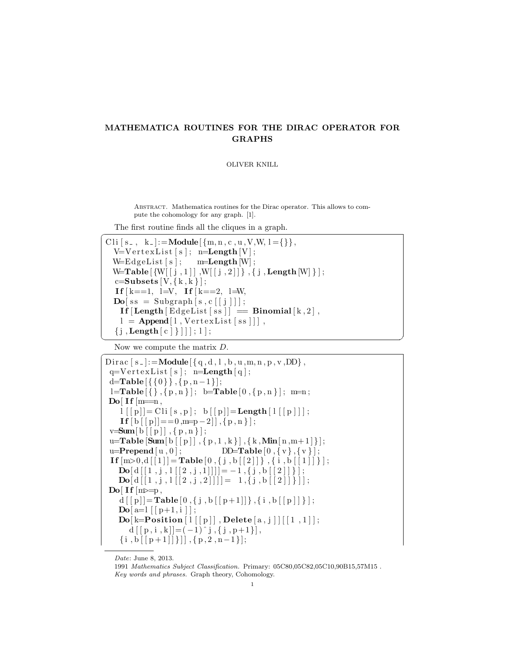## MATHEMATICA ROUTINES FOR THE DIRAC OPERATOR FOR GRAPHS

OLIVER KNILL

Abstract. Mathematica routines for the Dirac operator. This allows to compute the cohomology for any graph. [1].

The first routine finds all the cliques in a graph.

```
Cli [s_-, k_-]: = Module \{\{m, n, c, u, V, W, l = \{\}\}\,V=VertexList [s]; n=Length [V];
  W = EdgeList[s]; \qquad m = Length[W];W=Table [\{W[ [ j , 1 ] ] , W[ [ j , 2 ] ] \} , \{ j , \mathbf{Length}[W] \} ];
  c=Subsets [V, {k, k}];
  If k == 1, l = V, If k == 2, l = W,
  \textbf{Do}[\text{ss} = \text{Subgraph}[\text{s}, \text{c}[[j]]];\text{If} \left[ \text{Length} \left[ \text{EdgeList} \left[ \text{ss} \right] \right] \right] = \text{Binomial} \left[ \text{k} , 2 \right],l = \text{Append}[l, \text{VertexList}[ss]]],{ j , \textbf{Length}[c] } ] ] ; 1 ];
```
✝ ✆ Now we compute the matrix  $D$ .

```
Dirac [s_-]:=Module [\{q, d, l, b, u, m, n, p, v, DD\},q=V ert ex List [s]; n=Length [q];
 d=Table \{ \{ 0 \} \}, \{ p, n-1 \};
 l = Table {\ \{ \} \}, \{ p, n \} \ ; \ \ b = Table {\ 0 \}, \{ p, n \} \ ; \ m = n ;Do[ If [m=<sub>n</sub>],
     l\lceil \lceil p \rceil = \text{Cli}\lceil s, p \rceil; \; b\lceil \lceil p \rceil = \text{Length}\lceil \lceil \lceil p \rceil \rceil \, ;\mathbf{If } [b] [p] |=0, m=p-2], \{p, n\};
 v=Sum[ b [[ p ]], { p , n } ];
 u=Table [\text{Sum} [ b [[ p ] ] , { p , 1 , k } ] , { k , Min [ n , m+1 ] }];u=Prepend [u, 0]; DD=Table [0, \{v\}, \{v\}];
 If [m>0,d[[1]] = \textbf{Table}[0,\{j,b[[2]]\},\{i,b[[1]]\};
    \textbf{Do}[\text{d}[[1,j,1[[2,j,1]]]]]=-1,\{j,b[[2]]\}\; ;\textbf{Do}[\![d[[1,j,1][2,j,2]]]\!] = 1, \{j, b[[2]]\}\text{Do} [ If \text{Im}\equiv p ,
    d[[p]] = \textbf{Table}[0, \{j, b[[p+1]]\}, \{i, b[[p]]\}];\textbf{Do}[\text{a=1} \mid [\text{p+1},\text{i} \; ]];\textbf{Do}[\text{k=Position} [1[[p]]], \textbf{Delete} [a, j]] [[1, 1]];
        d[[p, i, k]] = (-1)^{r}j, {j, p+1}],{ i , b [[p+1]] } ] , { p , 2 , n-1 } } ;
```
Date: June 8, 2013.

<sup>1991</sup> Mathematics Subject Classification. Primary: 05C80,05C82,05C10,90B15,57M15 . Key words and phrases. Graph theory, Cohomology.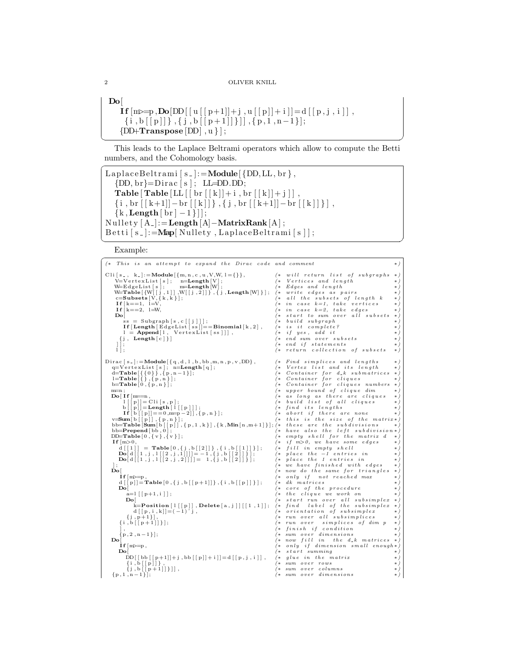```
D<sub>o</sub>If [m \geq p, \text{Do}[DD[[u[[p+1]]+j], u[[p]]+i]] = d[[p,j,i]],
    \{i, b[[p]]\}, \{j, b[[p+1]]\}]] , \{p, 1, n-1\}];{DD+Transpose[DD], u};
✝ ✆
```
This leads to the Laplace Beltrami operators which allow to compute the Betti numbers, and the Cohomology basis.

```
LaplaceBeltrami [s_l]:=Module[\{DD, LL, br\},
   \{DD, br\} = Dirac[s]; LL=DD.DD;Table \lceil Table \lceil LL \lceil \lceil br \lceil \lceil k \rceil + i \lceil , br \lceil \lceil k \rceil + j \lceil \rceil .
   {\{ i, br [ [ k+1] ] - br [ [ k ] ] \}, \{ j, br [ [ k+1 ] ] - br [ [ k ] ] \} }{k, Length[br] -1}];
Nullety [A_{\cdot}] :=Length [A]–MatrixRank [A];
\text{Betti} [s_+] := \text{Map}[\text{Nullety}, \text{LaplaceBeltrami}[s]];✝ ✆
```
Example:

```
✞
(∗ T h i s i s an a t t em p t t o e xpand t h e D i r a c c o d e and comment ∗)
  C li [s_, k_] :=Module \{m, n, c, u, V, W, l = \{\}\}, <br>V=VertexList [s]; n=Length [V]; <br>(* Vertices and length *)
            V=V e r t e x L i s t [ s ] ; n=Length [V ] ; (∗ V e r t i c e s and l e n g t h ∗)
            W=EdgeList[s]; m=Length [W];<br>
W=Table [{W[[j,1]], W[[j,2]]}, {j, Length [W]}]; (* write edges as pairs * )<br>
c=Subsets [V, {k, k, }];<br>
(* all the subsets of length k * )<br>
If [k==1, l=V,<br>
(* in case k=1, take vertices *)
           W=Table [W[j], 1], W[i], 2]}, {j, Length [W]} }; (* write edges as pairs<br>c=Subsets [V, \{k, k\}];<br>H[k == 1, 1 = V, (* all the subsets of length k<br>If [k == 2, 1 = W, (* in case k=1, take vertices<br>W[k == 2, 1 = W, (* in case k=2, take
                                                                                                                                                                  (* start to sum over all subsets<br>(* build subgraph
                    ss = Subgraph [s,c[[j]]]; (* build subgraph * *)<br>If [Length [EdgeList [ss]]==Binomial [k,2], (* is it complete? * * * *
                l = \text{Append}[1, \text{ VertexList}[\text{ss}]]], (*) ( * \text{ if } \text{yes}, \text{ add } \text{ it } \text{*})<br>{j, Length [c]} (*) (* \text{ end } \text{ sum } \text{ over } \text{ subsets } \text{*})\begin{array}{c} \text{if } \text{if } x \text{ is } x \text{ and } y \text{ is } x \text{ if } x \text{ is } x \text{ if } x \text{ is } x \text{ if } x \text{ is } x \text{ if } x \text{ is } x \text{ if } x \text{ is } x \text{ if } x \text{ is } x \text{ if } x \text{ is } x \text{ if } x \text{ is } x \text{ if } x \text{ is } x \text{ if } x \text{ is } x \text{ if } x \text{ is } x \text{ if } x \text{ is } x \text{ if } x \text{ is } x \text{ if } x \text{ is } x \text{ if } x \text{ is } x \text{ if(* return collection of subsets
 \begin{array}{llll} \text{Dirac}\big[\,s_-\,\big]:=\text{Module}\big[\,\{\,q \,, d \,, \,l \,, b \,, bb\,, m, n \,, p \,, v\,, DD\big\}\,\big), & \text{\rm (} \ast \;\; \textit{Find} \;\; \textit{s implies} \;\; \textit{and} \;\; \textit{lengths} \big] \\ \text{d=Table}\big[\,\{\,0\,\}\big\}\,\big], & \text{m=Length}\big[\,\{\,\big\}\,\big] & \text{\rm (} \ast \;\; \textit{Continier} \;\; \textit{for} \;\; d \,\, k \;\; \textit{sumg} \,\textit{th} \big] \\ \textq=VertexList[s]; n=Length[q]; (* Vertex list and its length *)<br>d=Table[{{0}},{p,n-1}]; (* Container for d_k submatrices *)<br>l=Table[{},{p,n}];
         \begin{tabular}{ll} b=Table[0, \{p,n\}]; & (\ast\otimes \textit{Container for cliques numbers } \ast)\\ \mathbf{Do}[\mathbf{If}[\mathbf{m}=\mathbf{n}, & (\ast\otimes\textit{longed time } \ast)\\ \mathbf{Do}[\mathbf{If}[\mathbf{m}=\mathbf{n}, & (\ast\otimes\textit{longed time } \ast)\\ \mathbf{I}[\mathbf{p}]]=\mathrm{Cli}[\mathbf{s},\mathbf{p}]; & (\ast\otimes\textit{longed time } \ast)\\ \mathbf{b}[[\mathbf{p}]]=\mathbf{Length}[\mathbf{1}[[\mathbf{p}]]]; & (\ast\otimes\textit{ind its lengthsbb=Table [Sum [b [[p]], {p,1,k}], {k, Min [n, m+1]}]; (* these are the subdivisions *)<br>bb=Prepend[bb,0];<br>DD=Table [0,{v}, {v}];<br>DD=Table [0,{v}, {v}];
          \textbf{If } [\text{m}{>0}, \text{ } (*) f \text{m}{>0}, \text{ we have some edges } *d[[1]] = Table[0,{j,b[[2]]},{i,b[[1]]}]; (* fill in empty shell *)<br>Do[d[[1,j,1[[2,j,1]]]]= -1,{j,b[[2]]}]; (* place the -1 entries in *)<br>Do[d[[1,j,1[[2,j,2]]]]= 1,{j,b[[2]]}}; (* place the 1 entries in *)
         \begin{array}{lll} \text{j;} & \text{(} & \text{we have finished with edges } * \text{)} \ \text{Do} & \text{(} & \text{now do the same for triangles } * \text{)} \end{array}\textbf{If} \ [\text{m}\geq=p \ , \ \text{if} \ [\text{m}\geq=p \ , \ \text{if} \ [\text{p}+1] \ ] \}, \{ \text{i }, \text{b} \ [\ [\text{p} \ ] \ ] \} \ ] ; \qquad (* \quad only \quad if \quad not \quad reached \quad max \qquad * ) \ (\text{k } \quad cluster \quad if \quad ( \text{p}) \ [\text{p} \ ] \ \text{and} \quad (* \quad correct \quad if \quad ( \text{p}) \ \text{if} \ \text{p}+1] \ \text{if} \ \text{p}+1] \ \text{if} \ \text{p}+1] \ \text{if} \ \text{p}+1] \ \text{a=\left[ \lceil [p+1,i] \rceil \right];<br>
\begin{array}{lll} \text{Do} \left[ \begin{array}{ccc} * & * & * \end{array} \right. & \text{Do} \left[ \begin{array}{ccc} * & * & * \end{array} \right. & \text{Do} \left[ \begin{array}{ccc} * & * & * \end{array} \right. & \text{Do} \left[ \begin{array}{ccc} * & * & * \end{array} \right. & \text{Do} \left[ \begin{array}{ccc} * & * & * \end{array} \right. & \text{Do} \left[ \begin{arrayk=Position [1[[p]], Delete [a, j]][[1, 1]]; d[[p, i, k]] = (-1)^{k} j,
                                                                                                                                                                   \begin{array}{llll} (* & \hbox{orientation} & \hbox{of} & \hbox{subsimplex} \end{array}\{j, p+1\}\}\,, \{i, b\big[\big[p+1\big]\big]\}\}\;; (* run over all subsimplices)<br>\{i, b\big[\big[p+1\big]\big]\}\;; (* run over simplices of directions)
                \begin{array}{ll} \text{ $\{i$}, b \,\text{[\,[p+1]]\}$};\\ \text{ $\{i$}, b \,\text{[\,[p+1]]\}$};\\ \text{ $\;\{i$},\text{ $i$} \text{ $\{i$} \text{ $\{i$} \text{ $\{i$} \text{ $\{i$} \text{ $\{i$} \text{ $\{i$} \text{ $\{i$} \text{ $\{i$} \text{ $\{i$} \text{ $\{i$} \text{ $\{i$} \text{ $\{i$} \text{ $\{i$} \text{ $\{i$} \text{ $\{i$} \text{ $\{i$} \text{ $\{i$} \text{ $\{i$} \text{ $\{i${\bf p} \{{\bf p}, 2\,,{\bf n}-1\};<br>
{\bf D}{\bf o}[\ast sum over dimensions {\bf p}<br>
\{*\  \, {\bf n}\, {\bf o}\, {\bf v}\  \, {\bf f} i \{*\  \, {\bf n}\, {\bf v}\  \, {\bf f}\}\begin{array}{lll} \text{if} & \text{if} & \text{if} & \text{if} & \text{if} & \text{if} & \text{if} & \text{if} & \text{if} & \text{if} & \text{if} & \text{if} & \text{if} & \text{if} & \text{if} & \text{if} & \text{if} & \text{if} & \text{if} & \text{if} & \text{if} & \text{if} & \text{if} & \text{if} & \text{if} & \text{if} & \text{if} & \text{if} & \text{if} & \text{if} & \text{if} & \text{if} & \text{if} & \text{if} & \text{if} & \textI f [m>=p , (∗ o n l y i f d im e n s i o n s m a l l enou gh ∗)
Do[ (∗ s t a r t summing ∗)
                    \begin{aligned} &\dot{\text{DD}}\big[\big[\,\text{bb}\big[\,[\,\text{p}+1]\big] + \text{j}\;, \text{bb}\big[\,[\,\text{p}\,]\big] + \text{i}\,\big]\big] = \text{d}\big[\big[\,\text{p}\,,\,\text{j}\,,\,\text{i}\,\big]\big]\;,\\ &\{\text{j}\,,\text{b}\,\big[\,\big[\,\text{p}+1\,\big]\big]\,\big\}\big]\big]\;, \end{aligned}\begin{array}{ll} \{ \texttt{i}, \texttt{b} \left[ \texttt{p} \right] \} \}, \ \texttt{\{i, b \left[ \texttt{p+1} \right] \} } \end{array} \bigg| \{ \texttt{i}, \texttt{b} \left[ \texttt{p+1} \right] \} \bigg| \,, \ \texttt{\{i, b \left[ \texttt{p+1} \right] \} } \bigg| \,, \ \texttt{\{i, s} \texttt{\$num over columns} \qquad \ast \ast \} \bigg| \,, \ \texttt{\{p, l, n-1\} } \bigg| \,, \ \texttt{\{p, s} \texttt{\$num of vertices} \qquad \ast \ast
```
 $\overline{a}$